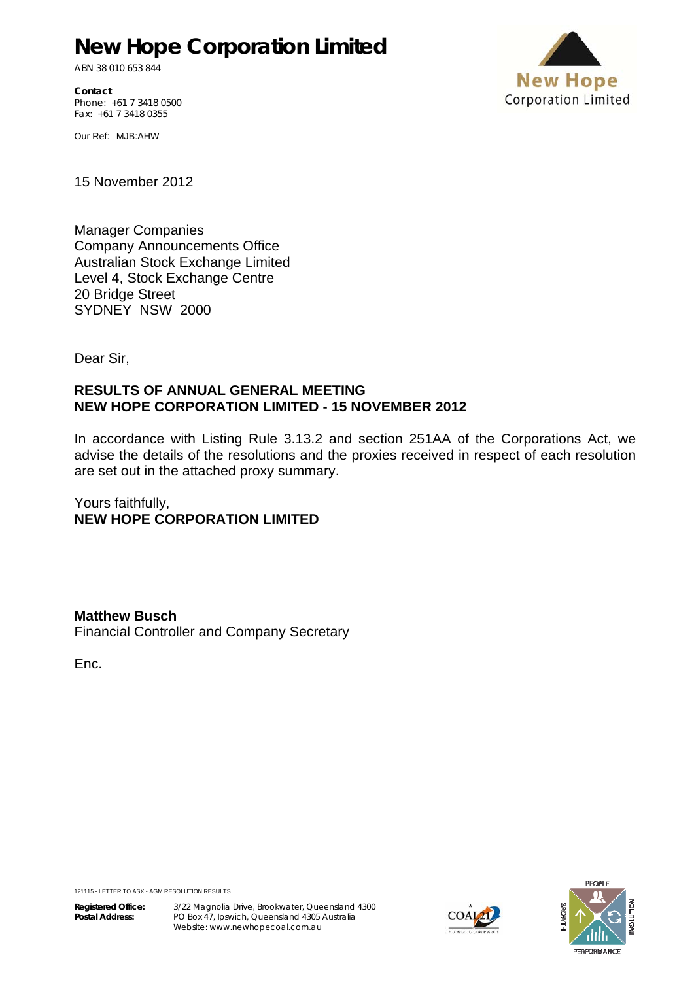# **New Hope Corporation Limited**

ABN 38 010 653 844

**Contact**  Phone: +61 7 3418 0500 Fax: +61 7 3418 0355



Our Ref: MJB:AHW

15 November 2012

Manager Companies Company Announcements Office Australian Stock Exchange Limited Level 4, Stock Exchange Centre 20 Bridge Street SYDNEY NSW 2000

Dear Sir,

#### **RESULTS OF ANNUAL GENERAL MEETING NEW HOPE CORPORATION LIMITED - 15 NOVEMBER 2012**

In accordance with Listing Rule 3.13.2 and section 251AA of the Corporations Act, we advise the details of the resolutions and the proxies received in respect of each resolution are set out in the attached proxy summary.

Yours faithfully, **NEW HOPE CORPORATION LIMITED**

**Matthew Busch** Financial Controller and Company Secretary

Enc.



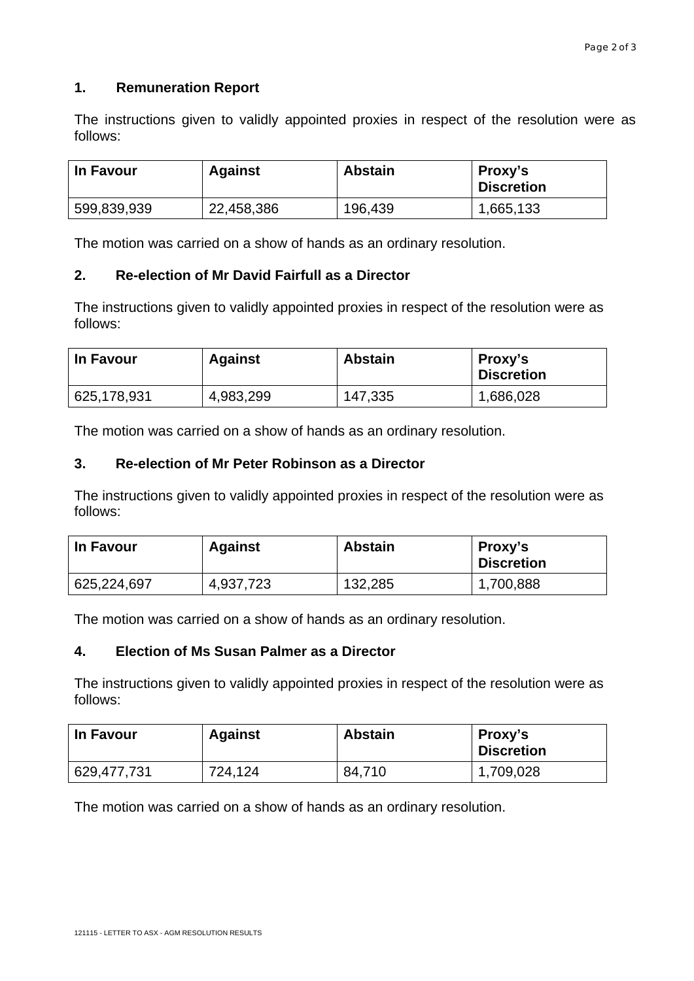### **1. Remuneration Report**

The instructions given to validly appointed proxies in respect of the resolution were as follows:

| In Favour   | <b>Against</b> | <b>Abstain</b> | Proxy's<br><b>Discretion</b> |
|-------------|----------------|----------------|------------------------------|
| 599,839,939 | 22,458,386     | 196,439        | 1,665,133                    |

The motion was carried on a show of hands as an ordinary resolution.

#### **2. Re-election of Mr David Fairfull as a Director**

The instructions given to validly appointed proxies in respect of the resolution were as follows:

| In Favour   | <b>Against</b> | <b>Abstain</b> | Proxy's<br><b>Discretion</b> |
|-------------|----------------|----------------|------------------------------|
| 625,178,931 | 4,983,299      | 147,335        | 1,686,028                    |

The motion was carried on a show of hands as an ordinary resolution.

#### **3. Re-election of Mr Peter Robinson as a Director**

The instructions given to validly appointed proxies in respect of the resolution were as follows:

| In Favour   | <b>Against</b> | <b>Abstain</b> | Proxy's<br><b>Discretion</b> |
|-------------|----------------|----------------|------------------------------|
| 625,224,697 | 4,937,723      | 132,285        | 1,700,888                    |

The motion was carried on a show of hands as an ordinary resolution.

#### **4. Election of Ms Susan Palmer as a Director**

The instructions given to validly appointed proxies in respect of the resolution were as follows:

| In Favour   | <b>Against</b> | <b>Abstain</b> | Proxy's<br><b>Discretion</b> |
|-------------|----------------|----------------|------------------------------|
| 629,477,731 | 724,124        | 84,710         | 1,709,028                    |

The motion was carried on a show of hands as an ordinary resolution.